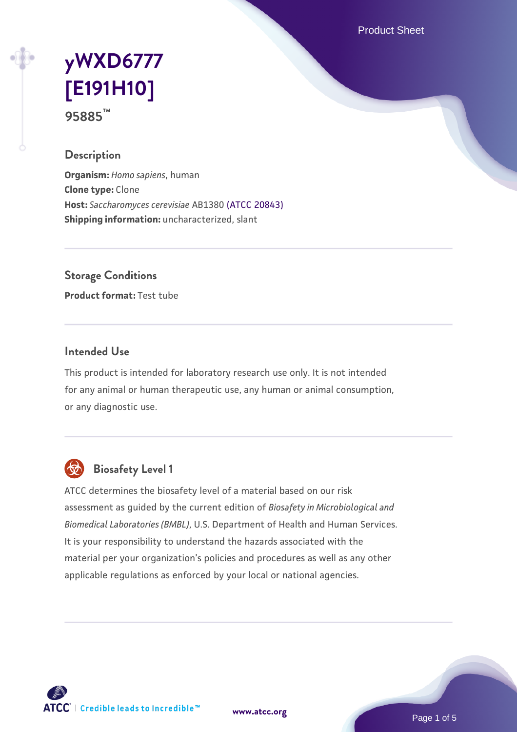Product Sheet

# **[yWXD6777](https://www.atcc.org/products/95885) [\[E191H10\]](https://www.atcc.org/products/95885) 95885™**

### **Description**

**Organism:** *Homo sapiens*, human **Clone type:** Clone **Host:** *Saccharomyces cerevisiae* AB1380 [\(ATCC 20843\)](https://www.atcc.org/products/20843) **Shipping information:** uncharacterized, slant

**Storage Conditions**

**Product format:** Test tube

#### **Intended Use**

This product is intended for laboratory research use only. It is not intended for any animal or human therapeutic use, any human or animal consumption, or any diagnostic use.



# **Biosafety Level 1**

ATCC determines the biosafety level of a material based on our risk assessment as guided by the current edition of *Biosafety in Microbiological and Biomedical Laboratories (BMBL)*, U.S. Department of Health and Human Services. It is your responsibility to understand the hazards associated with the material per your organization's policies and procedures as well as any other applicable regulations as enforced by your local or national agencies.

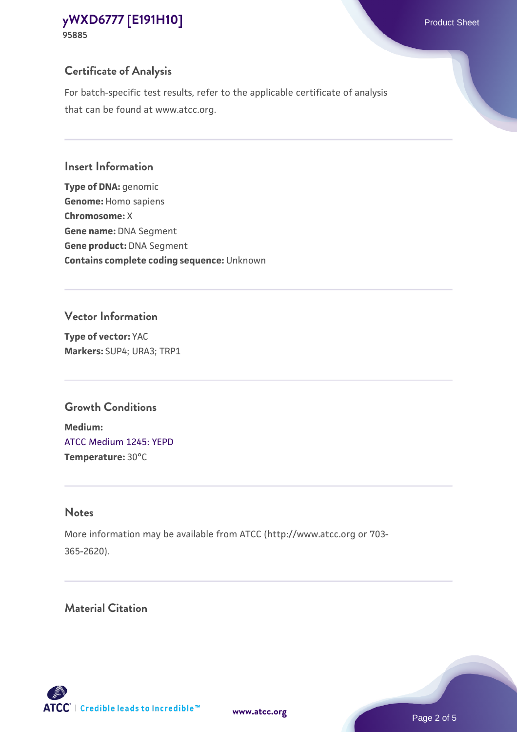#### **Certificate of Analysis**

For batch-specific test results, refer to the applicable certificate of analysis that can be found at www.atcc.org.

#### **Insert Information**

**Type of DNA:** genomic **Genome:** Homo sapiens **Chromosome:** X **Gene name:** DNA Segment **Gene product:** DNA Segment **Contains complete coding sequence:** Unknown

#### **Vector Information**

**Type of vector:** YAC **Markers:** SUP4; URA3; TRP1

#### **Growth Conditions**

**Medium:**  [ATCC Medium 1245: YEPD](https://www.atcc.org/-/media/product-assets/documents/microbial-media-formulations/1/2/4/5/atcc-medium-1245.pdf?rev=705ca55d1b6f490a808a965d5c072196) **Temperature:** 30°C

### **Notes**

More information may be available from ATCC (http://www.atcc.org or 703- 365-2620).

### **Material Citation**

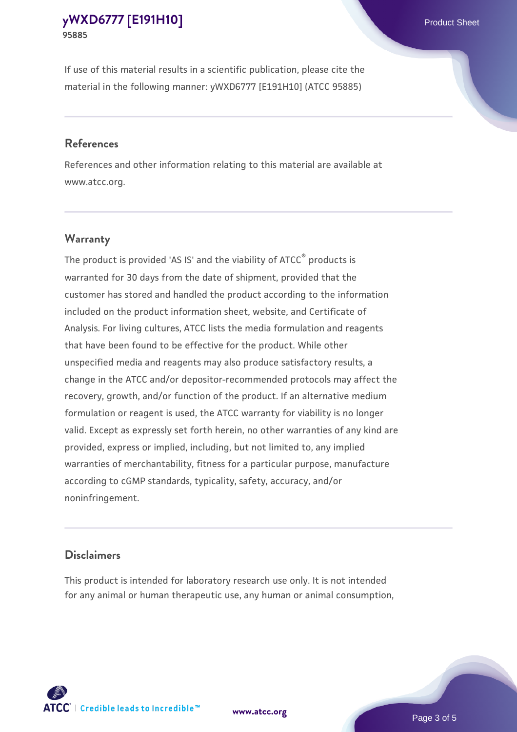If use of this material results in a scientific publication, please cite the material in the following manner: yWXD6777 [E191H10] (ATCC 95885)

#### **References**

References and other information relating to this material are available at www.atcc.org.

#### **Warranty**

The product is provided 'AS IS' and the viability of  $ATCC<sup>®</sup>$  products is warranted for 30 days from the date of shipment, provided that the customer has stored and handled the product according to the information included on the product information sheet, website, and Certificate of Analysis. For living cultures, ATCC lists the media formulation and reagents that have been found to be effective for the product. While other unspecified media and reagents may also produce satisfactory results, a change in the ATCC and/or depositor-recommended protocols may affect the recovery, growth, and/or function of the product. If an alternative medium formulation or reagent is used, the ATCC warranty for viability is no longer valid. Except as expressly set forth herein, no other warranties of any kind are provided, express or implied, including, but not limited to, any implied warranties of merchantability, fitness for a particular purpose, manufacture according to cGMP standards, typicality, safety, accuracy, and/or noninfringement.

#### **Disclaimers**

This product is intended for laboratory research use only. It is not intended for any animal or human therapeutic use, any human or animal consumption,

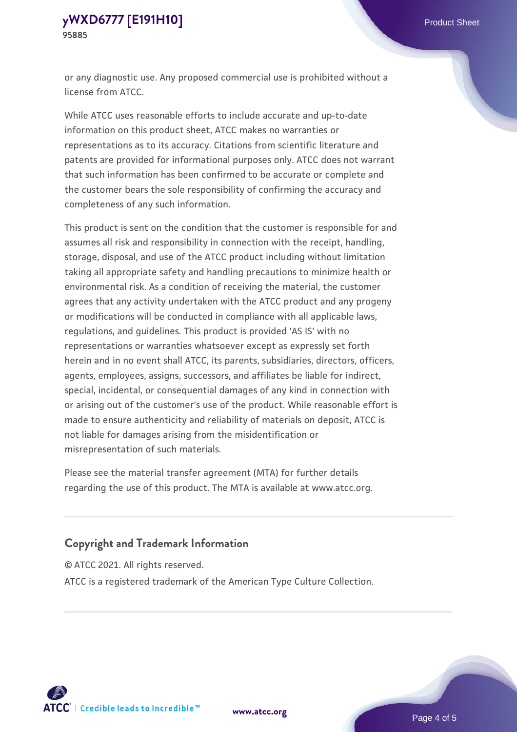or any diagnostic use. Any proposed commercial use is prohibited without a license from ATCC.

While ATCC uses reasonable efforts to include accurate and up-to-date information on this product sheet, ATCC makes no warranties or representations as to its accuracy. Citations from scientific literature and patents are provided for informational purposes only. ATCC does not warrant that such information has been confirmed to be accurate or complete and the customer bears the sole responsibility of confirming the accuracy and completeness of any such information.

This product is sent on the condition that the customer is responsible for and assumes all risk and responsibility in connection with the receipt, handling, storage, disposal, and use of the ATCC product including without limitation taking all appropriate safety and handling precautions to minimize health or environmental risk. As a condition of receiving the material, the customer agrees that any activity undertaken with the ATCC product and any progeny or modifications will be conducted in compliance with all applicable laws, regulations, and guidelines. This product is provided 'AS IS' with no representations or warranties whatsoever except as expressly set forth herein and in no event shall ATCC, its parents, subsidiaries, directors, officers, agents, employees, assigns, successors, and affiliates be liable for indirect, special, incidental, or consequential damages of any kind in connection with or arising out of the customer's use of the product. While reasonable effort is made to ensure authenticity and reliability of materials on deposit, ATCC is not liable for damages arising from the misidentification or misrepresentation of such materials.

Please see the material transfer agreement (MTA) for further details regarding the use of this product. The MTA is available at www.atcc.org.

#### **Copyright and Trademark Information**

© ATCC 2021. All rights reserved.

ATCC is a registered trademark of the American Type Culture Collection.



**[www.atcc.org](http://www.atcc.org)**

Page 4 of 5